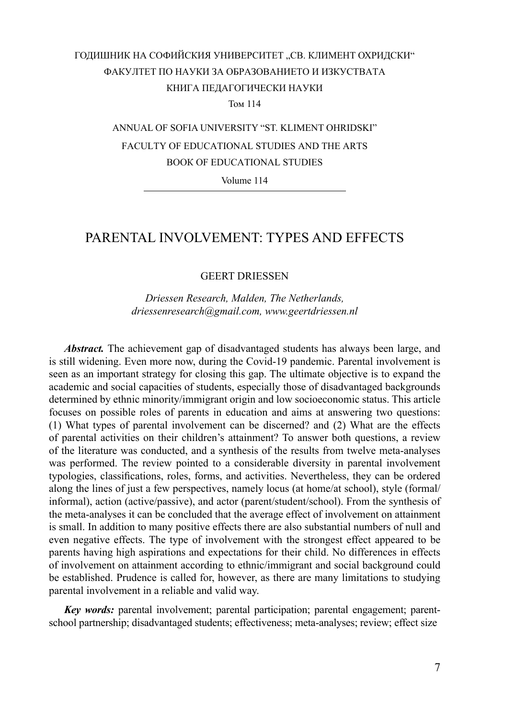### ГОДИШНИК НА СОФИЙСКИЯ УНИВЕРСИТЕТ "СВ. КЛИМЕНТ ОХРИДСКИ" ФАКУЛТЕТ ПО НАУКИ ЗА ОБРАЗОВАНИЕТО И ИЗКУСТВАТА КНИГА ПЕДАГОГИЧЕСКИ НАУКИ Том 114

ANNUAL OF SOFIA UNIVERSITY "ST. KLIMENT OHRIDSKI" FACULTY OF EDUCATIONAL STUDIES AND THE ARTS ВООК OF EDUCATIONAL STUDIES

Volume 114

### PARENTAL INVOLVEMENT: TYPES AND EFFECTS

GEERT DRIESSEN

*Driessen Research, Malden, The Netherlands, driessenresearch@gmail.com, www.geertdriessen.nl*

*Abstract.* The achievement gap of disadvantaged students has always been large, and is still widening. Even more now, during the Covid-19 pandemic. Parental involvement is seen as an important strategy for closing this gap. The ultimate objective is to expand the academic and social capacities of students, especially those of disadvantaged backgrounds determined by ethnic minority/immigrant origin and low socioeconomic status. This article focuses on possible roles of parents in education and aims at answering two questions: (1) What types of parental involvement can be discerned? and (2) What are the effects of parental activities on their children's attainment? To answer both questions, a review of the literature was conducted, and a synthesis of the results from twelve meta-analyses was performed. The review pointed to a considerable diversity in parental involvement typologies, classifications, roles, forms, and activities. Nevertheless, they can be ordered along the lines of just a few perspectives, namely locus (at home/at school), style (formal/ informal), action (active/passive), and actor (parent/student/school). From the synthesis of the meta-analyses it can be concluded that the average effect of involvement on attainment is small. In addition to many positive effects there are also substantial numbers of null and even negative effects. The type of involvement with the strongest effect appeared to be parents having high aspirations and expectations for their child. No differences in effects of involvement on attainment according to ethnic/immigrant and social background could be established. Prudence is called for, however, as there are many limitations to studying parental involvement in a reliable and valid way.

*Key words:* parental involvement; parental participation; parental engagement; parentschool partnership; disadvantaged students; effectiveness; meta-analyses; review; effect size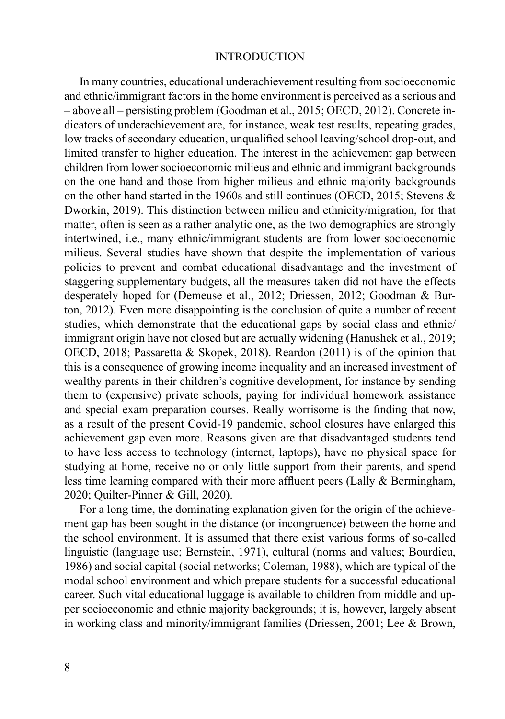### INTRODUCTION

In many countries, educational underachievement resulting from socioeconomic and ethnic/immigrant factors in the home environment is perceived as a serious and – above all – persisting problem (Goodman et al., 2015; OECD, 2012). Concrete indicators of underachievement are, for instance, weak test results, repeating grades, low tracks of secondary education, unqualified school leaving/school drop-out, and limited transfer to higher education. The interest in the achievement gap between children from lower socioeconomic milieus and ethnic and immigrant backgrounds on the one hand and those from higher milieus and ethnic majority backgrounds on the other hand started in the 1960s and still continues (OECD, 2015; Stevens & Dworkin, 2019). This distinction between milieu and ethnicity/migration, for that matter, often is seen as a rather analytic one, as the two demographics are strongly intertwined, i.e., many ethnic/immigrant students are from lower socioeconomic milieus. Several studies have shown that despite the implementation of various policies to prevent and combat educational disadvantage and the investment of staggering supplementary budgets, all the measures taken did not have the effects desperately hoped for (Demeuse et al., 2012; Driessen, 2012; Goodman & Burton, 2012). Even more disappointing is the conclusion of quite a number of recent studies, which demonstrate that the educational gaps by social class and ethnic/ immigrant origin have not closed but are actually widening (Hanushek et al., 2019; OECD, 2018; Passaretta & Skopek, 2018). Reardon (2011) is of the opinion that this is a consequence of growing income inequality and an increased investment of wealthy parents in their children's cognitive development, for instance by sending them to (expensive) private schools, paying for individual homework assistance and special exam preparation courses. Really worrisome is the finding that now, as a result of the present Covid-19 pandemic, school closures have enlarged this achievement gap even more. Reasons given are that disadvantaged students tend to have less access to technology (internet, laptops), have no physical space for studying at home, receive no or only little support from their parents, and spend less time learning compared with their more affluent peers (Lally & Bermingham, 2020; Quilter-Pinner & Gill, 2020).

For a long time, the dominating explanation given for the origin of the achievement gap has been sought in the distance (or incongruence) between the home and the school environment. It is assumed that there exist various forms of so-called linguistic (language use; Bernstein, 1971), cultural (norms and values; Bourdieu, 1986) and social capital (social networks; Coleman, 1988), which are typical of the modal school environment and which prepare students for a successful educational career. Such vital educational luggage is available to children from middle and upper socioeconomic and ethnic majority backgrounds; it is, however, largely absent in working class and minority/immigrant families (Driessen, 2001; Lee & Brown,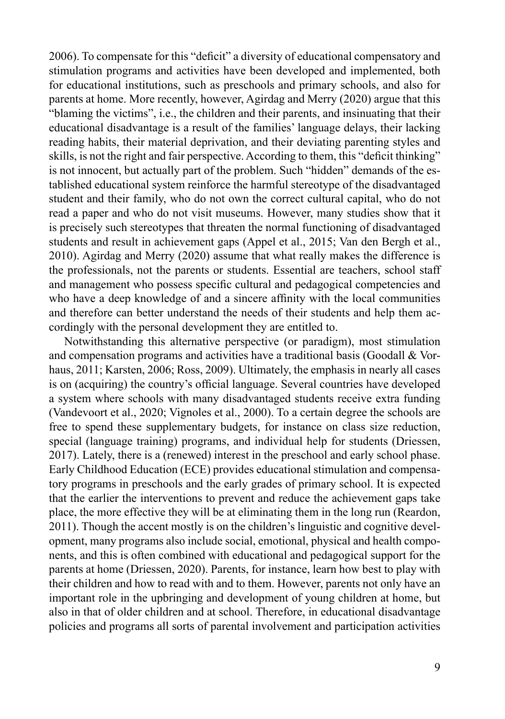2006). To compensate for this "deficit" a diversity of educational compensatory and stimulation programs and activities have been developed and implemented, both for educational institutions, such as preschools and primary schools, and also for parents at home. More recently, however, Agirdag and Merry (2020) argue that this "blaming the victims", i.e., the children and their parents, and insinuating that their educational disadvantage is a result of the families' language delays, their lacking reading habits, their material deprivation, and their deviating parenting styles and skills, is not the right and fair perspective. According to them, this "deficit thinking" is not innocent, but actually part of the problem. Such "hidden" demands of the established educational system reinforce the harmful stereotype of the disadvantaged student and their family, who do not own the correct cultural capital, who do not read a paper and who do not visit museums. However, many studies show that it is precisely such stereotypes that threaten the normal functioning of disadvantaged students and result in achievement gaps (Appel et al., 2015; Van den Bergh et al., 2010). Agirdag and Merry (2020) assume that what really makes the difference is the professionals, not the parents or students. Essential are teachers, school staff and management who possess specific cultural and pedagogical competencies and who have a deep knowledge of and a sincere affinity with the local communities and therefore can better understand the needs of their students and help them accordingly with the personal development they are entitled to.

Notwithstanding this alternative perspective (or paradigm), most stimulation and compensation programs and activities have a traditional basis (Goodall & Vorhaus, 2011; Karsten, 2006; Ross, 2009). Ultimately, the emphasis in nearly all cases is on (acquiring) the country's official language. Several countries have developed a system where schools with many disadvantaged students receive extra funding (Vandevoort et al., 2020; Vignoles et al., 2000). To a certain degree the schools are free to spend these supplementary budgets, for instance on class size reduction, special (language training) programs, and individual help for students (Driessen, 2017). Lately, there is a (renewed) interest in the preschool and early school phase. Early Childhood Education (ECE) provides educational stimulation and compensatory programs in preschools and the early grades of primary school. It is expected that the earlier the interventions to prevent and reduce the achievement gaps take place, the more effective they will be at eliminating them in the long run (Reardon, 2011). Though the accent mostly is on the children's linguistic and cognitive development, many programs also include social, emotional, physical and health components, and this is often combined with educational and pedagogical support for the parents at home (Driessen, 2020). Parents, for instance, learn how best to play with their children and how to read with and to them. However, parents not only have an important role in the upbringing and development of young children at home, but also in that of older children and at school. Therefore, in educational disadvantage policies and programs all sorts of parental involvement and participation activities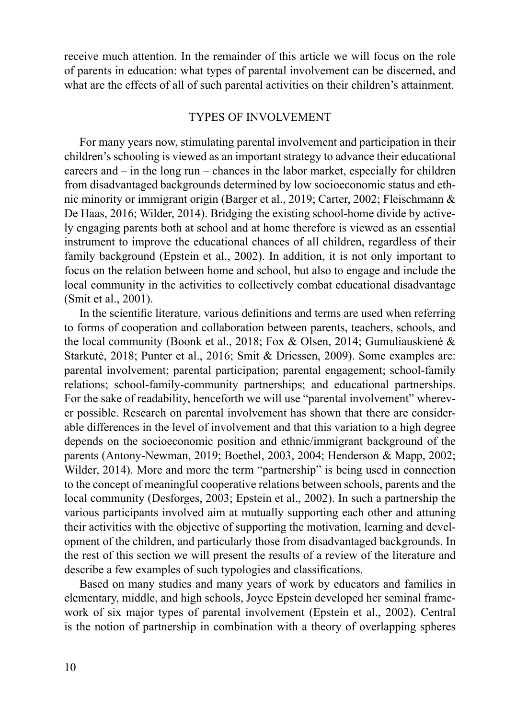receive much attention. In the remainder of this article we will focus on the role of parents in education: what types of parental involvement can be discerned, and what are the effects of all of such parental activities on their children's attainment.

#### TYPES OF INVOLVEMENT

For many years now, stimulating parental involvement and participation in their children's schooling is viewed as an important strategy to advance their educational careers and – in the long run – chances in the labor market, especially for children from disadvantaged backgrounds determined by low socioeconomic status and ethnic minority or immigrant origin (Barger et al., 2019; Carter, 2002; Fleischmann & De Haas, 2016; Wilder, 2014). Bridging the existing school-home divide by actively engaging parents both at school and at home therefore is viewed as an essential instrument to improve the educational chances of all children, regardless of their family background (Epstein et al., 2002). In addition, it is not only important to focus on the relation between home and school, but also to engage and include the local community in the activities to collectively combat educational disadvantage (Smit et al., 2001).

In the scientific literature, various definitions and terms are used when referring to forms of cooperation and collaboration between parents, teachers, schools, and the local community (Boonk et al., 2018; Fox & Olsen, 2014; Gumuliauskienė & Starkutė, 2018; Punter et al., 2016; Smit & Driessen, 2009). Some examples are: parental involvement; parental participation; parental engagement; school-family relations; school-family-community partnerships; and educational partnerships. For the sake of readability, henceforth we will use "parental involvement" wherever possible. Research on parental involvement has shown that there are considerable differences in the level of involvement and that this variation to a high degree depends on the socioeconomic position and ethnic/immigrant background of the parents (Antony-Newman, 2019; Boethel, 2003, 2004; Henderson & Mapp, 2002; Wilder, 2014). More and more the term "partnership" is being used in connection to the concept of meaningful cooperative relations between schools, parents and the local community (Desforges, 2003; Epstein et al., 2002). In such a partnership the various participants involved aim at mutually supporting each other and attuning their activities with the objective of supporting the motivation, learning and development of the children, and particularly those from disadvantaged backgrounds. In the rest of this section we will present the results of a review of the literature and describe a few examples of such typologies and classifications.

Based on many studies and many years of work by educators and families in elementary, middle, and high schools, Joyce Epstein developed her seminal framework of six major types of parental involvement (Epstein et al., 2002). Central is the notion of partnership in combination with a theory of overlapping spheres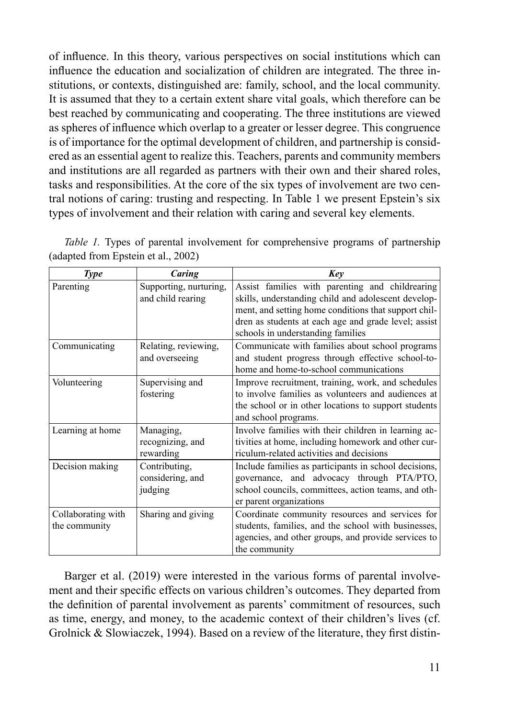of influence. In this theory, various perspectives on social institutions which can influence the education and socialization of children are integrated. The three institutions, or contexts, distinguished are: family, school, and the local community. It is assumed that they to a certain extent share vital goals, which therefore can be best reached by communicating and cooperating. The three institutions are viewed as spheres of influence which overlap to a greater or lesser degree. This congruence is of importance for the optimal development of children, and partnership is considered as an essential agent to realize this. Teachers, parents and community members and institutions are all regarded as partners with their own and their shared roles, tasks and responsibilities. At the core of the six types of involvement are two central notions of caring: trusting and respecting. In Table 1 we present Epstein's six types of involvement and their relation with caring and several key elements.

| <i>Table 1.</i> Types of parental involvement for comprehensive programs of partnership |  |  |
|-----------------------------------------------------------------------------------------|--|--|
| (adapted from Epstein et al., 2002)                                                     |  |  |

| <b>Type</b>                         | Caring                                       | Kev                                                                                                                                                                                                                                                         |  |  |
|-------------------------------------|----------------------------------------------|-------------------------------------------------------------------------------------------------------------------------------------------------------------------------------------------------------------------------------------------------------------|--|--|
| Parenting                           | Supporting, nurturing,<br>and child rearing  | Assist families with parenting and childrearing<br>skills, understanding child and adolescent develop-<br>ment, and setting home conditions that support chil-<br>dren as students at each age and grade level; assist<br>schools in understanding families |  |  |
| Communicating                       | Relating, reviewing,<br>and overseeing       | Communicate with families about school programs<br>and student progress through effective school-to-<br>home and home-to-school communications                                                                                                              |  |  |
| Volunteering                        | Supervising and<br>fostering                 | Improve recruitment, training, work, and schedules<br>to involve families as volunteers and audiences at<br>the school or in other locations to support students<br>and school programs.                                                                    |  |  |
| Learning at home                    | Managing,<br>recognizing, and<br>rewarding   | Involve families with their children in learning ac-<br>tivities at home, including homework and other cur-<br>riculum-related activities and decisions                                                                                                     |  |  |
| Decision making                     | Contributing,<br>considering, and<br>judging | Include families as participants in school decisions,<br>governance, and advocacy through PTA/PTO,<br>school councils, committees, action teams, and oth-<br>er parent organizations                                                                        |  |  |
| Collaborating with<br>the community | Sharing and giving                           | Coordinate community resources and services for<br>students, families, and the school with businesses,<br>agencies, and other groups, and provide services to<br>the community                                                                              |  |  |

Barger et al. (2019) were interested in the various forms of parental involvement and their specific effects on various children's outcomes. They departed from the definition of parental involvement as parents' commitment of resources, such as time, energy, and money, to the academic context of their children's lives (cf. Grolnick & Slowiaczek, 1994). Based on a review of the literature, they first distin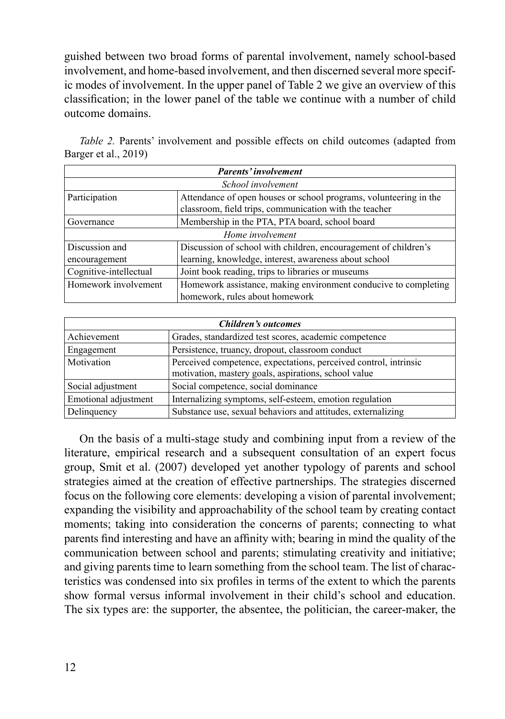guished between two broad forms of parental involvement, namely school-based involvement, and home-based involvement, and then discerned several more specific modes of involvement. In the upper panel of Table 2 we give an overview of this classification; in the lower panel of the table we continue with a number of child outcome domains.

| Parents' involvement   |                                                                   |  |  |
|------------------------|-------------------------------------------------------------------|--|--|
| School involvement     |                                                                   |  |  |
| Participation          | Attendance of open houses or school programs, volunteering in the |  |  |
|                        | classroom, field trips, communication with the teacher            |  |  |
| Governance             | Membership in the PTA, PTA board, school board                    |  |  |
| Home involvement       |                                                                   |  |  |
| Discussion and         | Discussion of school with children, encouragement of children's   |  |  |
| encouragement          | learning, knowledge, interest, awareness about school             |  |  |
| Cognitive-intellectual | Joint book reading, trips to libraries or museums                 |  |  |
| Homework involvement   | Homework assistance, making environment conducive to completing   |  |  |
|                        | homework, rules about homework                                    |  |  |

*Table 2.* Parents' involvement and possible effects on child outcomes (adapted from Barger et al., 2019)

| Children's outcomes  |                                                                                                                          |  |  |
|----------------------|--------------------------------------------------------------------------------------------------------------------------|--|--|
| Achievement          | Grades, standardized test scores, academic competence                                                                    |  |  |
| Engagement           | Persistence, truancy, dropout, classroom conduct                                                                         |  |  |
| Motivation           | Perceived competence, expectations, perceived control, intrinsic<br>motivation, mastery goals, aspirations, school value |  |  |
| Social adjustment    | Social competence, social dominance                                                                                      |  |  |
| Emotional adjustment | Internalizing symptoms, self-esteem, emotion regulation                                                                  |  |  |
| Delinquency          | Substance use, sexual behaviors and attitudes, externalizing                                                             |  |  |

On the basis of a multi-stage study and combining input from a review of the literature, empirical research and a subsequent consultation of an expert focus group, Smit et al. (2007) developed yet another typology of parents and school strategies aimed at the creation of effective partnerships. The strategies discerned focus on the following core elements: developing a vision of parental involvement; expanding the visibility and approachability of the school team by creating contact moments; taking into consideration the concerns of parents; connecting to what parents find interesting and have an affinity with; bearing in mind the quality of the communication between school and parents; stimulating creativity and initiative; and giving parents time to learn something from the school team. The list of characteristics was condensed into six profiles in terms of the extent to which the parents show formal versus informal involvement in their child's school and education. The six types are: the supporter, the absentee, the politician, the career-maker, the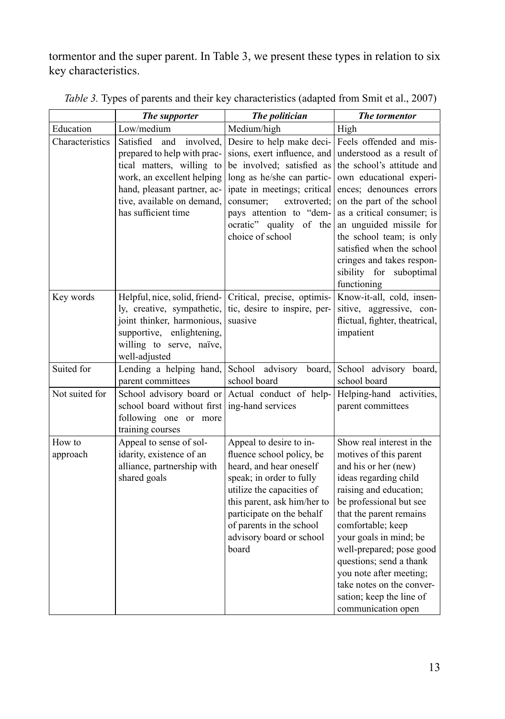tormentor and the super parent. In Table 3, we present these types in relation to six key characteristics.

|                    | The supporter                                                                                                                                                                                               | The politician                                                                                                                                                                                                                                                        | <b>The tormentor</b>                                                                                                                                                                                                                                                                                                                                                                                 |
|--------------------|-------------------------------------------------------------------------------------------------------------------------------------------------------------------------------------------------------------|-----------------------------------------------------------------------------------------------------------------------------------------------------------------------------------------------------------------------------------------------------------------------|------------------------------------------------------------------------------------------------------------------------------------------------------------------------------------------------------------------------------------------------------------------------------------------------------------------------------------------------------------------------------------------------------|
| Education          | Low/medium                                                                                                                                                                                                  | Medium/high                                                                                                                                                                                                                                                           | High                                                                                                                                                                                                                                                                                                                                                                                                 |
| Characteristics    | Satisfied<br>and<br>involved,<br>prepared to help with prac-<br>tical matters, willing to<br>work, an excellent helping<br>hand, pleasant partner, ac-<br>tive, available on demand,<br>has sufficient time | Desire to help make deci-<br>sions, exert influence, and<br>be involved; satisfied as<br>long as he/she can partic-<br>ipate in meetings; critical<br>consumer;<br>extroverted:<br>pays attention to "dem-<br>ocratic" quality of the<br>choice of school             | Feels offended and mis-<br>understood as a result of<br>the school's attitude and<br>own educational experi-<br>ences; denounces errors<br>on the part of the school<br>as a critical consumer; is<br>an unguided missile for<br>the school team; is only<br>satisfied when the school<br>cringes and takes respon-<br>sibility for suboptimal<br>functioning                                        |
| Key words          | Helpful, nice, solid, friend-<br>ly, creative, sympathetic,<br>joint thinker, harmonious,<br>supportive, enlightening,<br>willing to serve, naïve,<br>well-adjusted                                         | Critical, precise, optimis-<br>tic, desire to inspire, per-<br>suasive                                                                                                                                                                                                | Know-it-all, cold, insen-<br>sitive, aggressive, con-<br>flictual, fighter, theatrical,<br>impatient                                                                                                                                                                                                                                                                                                 |
| Suited for         | Lending a helping hand,<br>parent committees                                                                                                                                                                | School<br>advisory<br>board.<br>school board                                                                                                                                                                                                                          | School advisory board,<br>school board                                                                                                                                                                                                                                                                                                                                                               |
| Not suited for     | School advisory board or<br>school board without first<br>following one or more<br>training courses                                                                                                         | Actual conduct of help-<br>ing-hand services                                                                                                                                                                                                                          | Helping-hand activities,<br>parent committees                                                                                                                                                                                                                                                                                                                                                        |
| How to<br>approach | Appeal to sense of sol-<br>idarity, existence of an<br>alliance, partnership with<br>shared goals                                                                                                           | Appeal to desire to in-<br>fluence school policy, be<br>heard, and hear oneself<br>speak; in order to fully<br>utilize the capacities of<br>this parent, ask him/her to<br>participate on the behalf<br>of parents in the school<br>advisory board or school<br>board | Show real interest in the<br>motives of this parent<br>and his or her (new)<br>ideas regarding child<br>raising and education;<br>be professional but see<br>that the parent remains<br>comfortable; keep<br>your goals in mind; be<br>well-prepared; pose good<br>questions; send a thank<br>you note after meeting;<br>take notes on the conver-<br>sation; keep the line of<br>communication open |

*Table 3.* Types of parents and their key characteristics (adapted from Smit et al., 2007)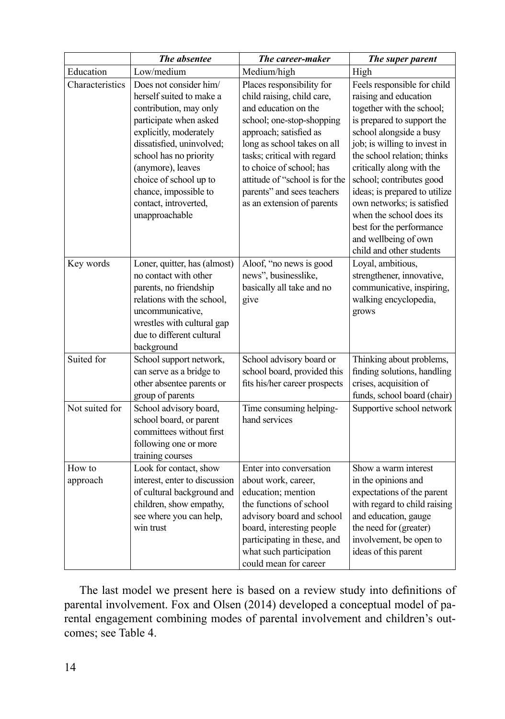|                    | The absentee                                                                                                                                                                                                                                                                                               | The career-maker                                                                                                                                                                                                                                                                                                               | The super parent                                                                                                                                                                                                                                                                                                                                                                                                                              |
|--------------------|------------------------------------------------------------------------------------------------------------------------------------------------------------------------------------------------------------------------------------------------------------------------------------------------------------|--------------------------------------------------------------------------------------------------------------------------------------------------------------------------------------------------------------------------------------------------------------------------------------------------------------------------------|-----------------------------------------------------------------------------------------------------------------------------------------------------------------------------------------------------------------------------------------------------------------------------------------------------------------------------------------------------------------------------------------------------------------------------------------------|
| Education          | Low/medium                                                                                                                                                                                                                                                                                                 | Medium/high                                                                                                                                                                                                                                                                                                                    | High                                                                                                                                                                                                                                                                                                                                                                                                                                          |
| Characteristics    | Does not consider him/<br>herself suited to make a<br>contribution, may only<br>participate when asked<br>explicitly, moderately<br>dissatisfied, uninvolved;<br>school has no priority<br>(anymore), leaves<br>choice of school up to<br>chance, impossible to<br>contact, introverted,<br>unapproachable | Places responsibility for<br>child raising, child care,<br>and education on the<br>school; one-stop-shopping<br>approach; satisfied as<br>long as school takes on all<br>tasks; critical with regard<br>to choice of school; has<br>attitude of "school is for the<br>parents" and sees teachers<br>as an extension of parents | Feels responsible for child<br>raising and education<br>together with the school;<br>is prepared to support the<br>school alongside a busy<br>job; is willing to invest in<br>the school relation; thinks<br>critically along with the<br>school; contributes good<br>ideas; is prepared to utilize<br>own networks; is satisfied<br>when the school does its<br>best for the performance<br>and wellbeing of own<br>child and other students |
| Key words          | Loner, quitter, has (almost)<br>no contact with other<br>parents, no friendship<br>relations with the school,<br>uncommunicative,<br>wrestles with cultural gap<br>due to different cultural<br>background                                                                                                 | Aloof, "no news is good<br>news", businesslike,<br>basically all take and no<br>give                                                                                                                                                                                                                                           | Loyal, ambitious,<br>strengthener, innovative,<br>communicative, inspiring,<br>walking encyclopedia,<br>grows                                                                                                                                                                                                                                                                                                                                 |
| Suited for         | School support network,<br>can serve as a bridge to<br>other absentee parents or<br>group of parents                                                                                                                                                                                                       | School advisory board or<br>school board, provided this<br>fits his/her career prospects                                                                                                                                                                                                                                       | Thinking about problems,<br>finding solutions, handling<br>crises, acquisition of<br>funds, school board (chair)                                                                                                                                                                                                                                                                                                                              |
| Not suited for     | School advisory board,<br>school board, or parent<br>committees without first<br>following one or more<br>training courses                                                                                                                                                                                 | Time consuming helping-<br>hand services                                                                                                                                                                                                                                                                                       | Supportive school network                                                                                                                                                                                                                                                                                                                                                                                                                     |
| How to<br>approach | Look for contact, show<br>interest, enter to discussion<br>of cultural background and<br>children, show empathy,<br>see where you can help,<br>win trust                                                                                                                                                   | Enter into conversation<br>about work, career,<br>education; mention<br>the functions of school<br>advisory board and school<br>board, interesting people<br>participating in these, and<br>what such participation<br>could mean for career                                                                                   | Show a warm interest<br>in the opinions and<br>expectations of the parent<br>with regard to child raising<br>and education, gauge<br>the need for (greater)<br>involvement, be open to<br>ideas of this parent                                                                                                                                                                                                                                |

The last model we present here is based on a review study into definitions of parental involvement. Fox and Olsen (2014) developed a conceptual model of parental engagement combining modes of parental involvement and children's outcomes; see Table 4.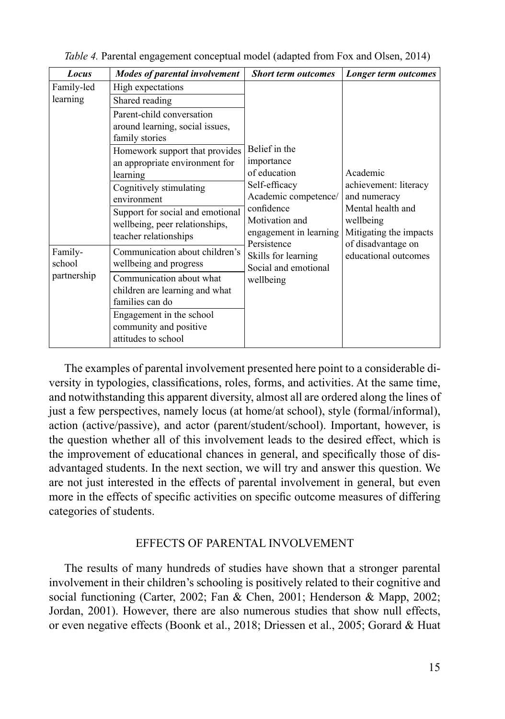| Locus                            | <b>Modes of parental involvement</b>                                                                                                                                          | <b>Short term outcomes</b>                                                                                                                                                                                                | Longer term outcomes                                                                                                                                        |
|----------------------------------|-------------------------------------------------------------------------------------------------------------------------------------------------------------------------------|---------------------------------------------------------------------------------------------------------------------------------------------------------------------------------------------------------------------------|-------------------------------------------------------------------------------------------------------------------------------------------------------------|
| Family-led                       | High expectations                                                                                                                                                             |                                                                                                                                                                                                                           |                                                                                                                                                             |
| learning                         | Shared reading                                                                                                                                                                |                                                                                                                                                                                                                           |                                                                                                                                                             |
| learning<br>environment          | Parent-child conversation<br>around learning, social issues,<br>family stories<br>Homework support that provides<br>an appropriate environment for<br>Cognitively stimulating | Belief in the<br>importance<br>of education<br>Self-efficacy<br>Academic competence/<br>confidence<br>Motivation and<br>engagement in learning<br>Persistence<br>Skills for learning<br>Social and emotional<br>wellbeing | Academic<br>achievement: literacy<br>and numeracy<br>Mental health and<br>wellbeing<br>Mitigating the impacts<br>of disadvantage on<br>educational outcomes |
|                                  | Support for social and emotional<br>wellbeing, peer relationships,<br>teacher relationships                                                                                   |                                                                                                                                                                                                                           |                                                                                                                                                             |
| Family-<br>school<br>partnership | Communication about children's<br>wellbeing and progress                                                                                                                      |                                                                                                                                                                                                                           |                                                                                                                                                             |
|                                  | Communication about what<br>children are learning and what<br>families can do<br>Engagement in the school<br>community and positive<br>attitudes to school                    |                                                                                                                                                                                                                           |                                                                                                                                                             |

*Table 4.* Parental engagement conceptual model (adapted from Fox and Olsen, 2014)

The examples of parental involvement presented here point to a considerable diversity in typologies, classifications, roles, forms, and activities. At the same time, and notwithstanding this apparent diversity, almost all are ordered along the lines of just a few perspectives, namely locus (at home/at school), style (formal/informal), action (active/passive), and actor (parent/student/school). Important, however, is the question whether all of this involvement leads to the desired effect, which is the improvement of educational chances in general, and specifically those of disadvantaged students. In the next section, we will try and answer this question. We are not just interested in the effects of parental involvement in general, but even more in the effects of specific activities on specific outcome measures of differing categories of students.

### EFFECTS OF PARENTAL INVOLVEMENT

The results of many hundreds of studies have shown that a stronger parental involvement in their children's schooling is positively related to their cognitive and social functioning (Carter, 2002; Fan & Chen, 2001; Henderson & Mapp, 2002; Jordan, 2001). However, there are also numerous studies that show null effects, or even negative effects (Boonk et al., 2018; Driessen et al., 2005; Gorard & Huat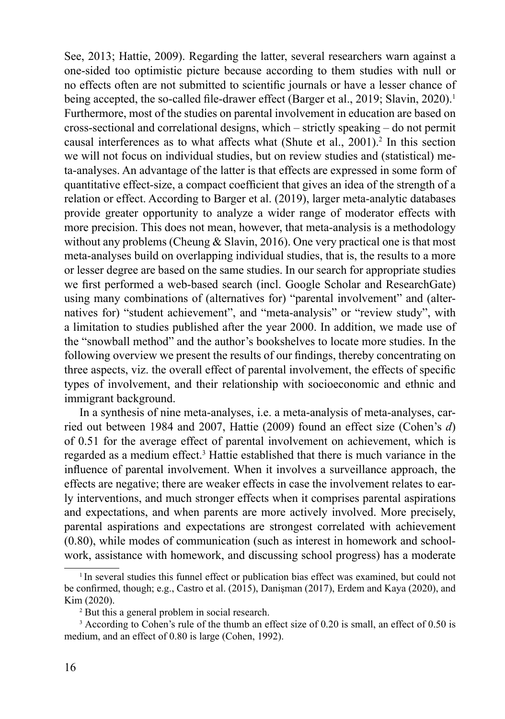See, 2013; Hattie, 2009). Regarding the latter, several researchers warn against a one-sided too optimistic picture because according to them studies with null or no effects often are not submitted to scientific journals or have a lesser chance of being accepted, the so-called file-drawer effect (Barger et al., 2019; Slavin, 2020).<sup>1</sup> Furthermore, most of the studies on parental involvement in education are based on cross-sectional and correlational designs, which – strictly speaking – do not permit causal interferences as to what affects what (Shute et al.,  $2001$ ).<sup>2</sup> In this section we will not focus on individual studies, but on review studies and (statistical) meta-analyses. An advantage of the latter is that effects are expressed in some form of quantitative effect-size, a compact coefficient that gives an idea of the strength of a relation or effect. According to Barger et al. (2019), larger meta-analytic databases provide greater opportunity to analyze a wider range of moderator effects with more precision. This does not mean, however, that meta-analysis is a methodology without any problems (Cheung & Slavin, 2016). One very practical one is that most meta-analyses build on overlapping individual studies, that is, the results to a more or lesser degree are based on the same studies. In our search for appropriate studies we first performed a web-based search (incl. Google Scholar and ResearchGate) using many combinations of (alternatives for) "parental involvement" and (alternatives for) "student achievement", and "meta-analysis" or "review study", with a limitation to studies published after the year 2000. In addition, we made use of the "snowball method" and the author's bookshelves to locate more studies. In the following overview we present the results of our findings, thereby concentrating on three aspects, viz. the overall effect of parental involvement, the effects of specific types of involvement, and their relationship with socioeconomic and ethnic and immigrant background.

In a synthesis of nine meta-analyses, i.e. a meta-analysis of meta-analyses, carried out between 1984 and 2007, Hattie (2009) found an effect size (Cohen's *d*) of 0.51 for the average effect of parental involvement on achievement, which is regarded as a medium effect.<sup>3</sup> Hattie established that there is much variance in the influence of parental involvement. When it involves a surveillance approach, the effects are negative; there are weaker effects in case the involvement relates to early interventions, and much stronger effects when it comprises parental aspirations and expectations, and when parents are more actively involved. More precisely, parental aspirations and expectations are strongest correlated with achievement (0.80), while modes of communication (such as interest in homework and schoolwork, assistance with homework, and discussing school progress) has a moderate

 $1$ In several studies this funnel effect or publication bias effect was examined, but could not be confirmed, though; e.g., Castro et al. (2015), Danisman (2017), Erdem and Kaya (2020), and Kim (2020).

<sup>2</sup> But this a general problem in social research.

<sup>&</sup>lt;sup>3</sup> According to Cohen's rule of the thumb an effect size of 0.20 is small, an effect of 0.50 is medium, and an effect of 0.80 is large (Cohen, 1992).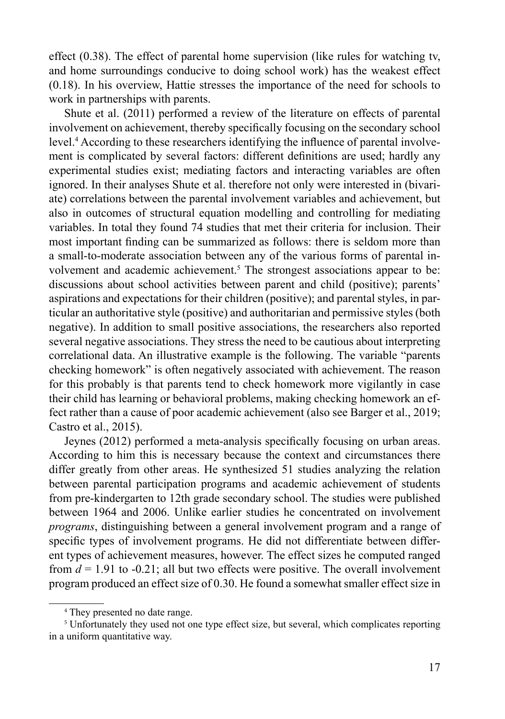effect (0.38). The effect of parental home supervision (like rules for watching tv, and home surroundings conducive to doing school work) has the weakest effect (0.18). In his overview, Hattie stresses the importance of the need for schools to work in partnerships with parents.

Shute et al. (2011) performed a review of the literature on effects of parental involvement on achievement, thereby specifically focusing on the secondary school level.<sup>4</sup> According to these researchers identifying the influence of parental involvement is complicated by several factors: different definitions are used; hardly any experimental studies exist; mediating factors and interacting variables are often ignored. In their analyses Shute et al. therefore not only were interested in (bivariate) correlations between the parental involvement variables and achievement, but also in outcomes of structural equation modelling and controlling for mediating variables. In total they found 74 studies that met their criteria for inclusion. Their most important finding can be summarized as follows: there is seldom more than a small-to-moderate association between any of the various forms of parental involvement and academic achievement.<sup>5</sup> The strongest associations appear to be: discussions about school activities between parent and child (positive); parents' aspirations and expectations for their children (positive); and parental styles, in particular an authoritative style (positive) and authoritarian and permissive styles (both negative). In addition to small positive associations, the researchers also reported several negative associations. They stress the need to be cautious about interpreting correlational data. An illustrative example is the following. The variable "parents checking homework" is often negatively associated with achievement. The reason for this probably is that parents tend to check homework more vigilantly in case their child has learning or behavioral problems, making checking homework an effect rather than a cause of poor academic achievement (also see Barger et al., 2019; Castro et al., 2015).

Jeynes (2012) performed a meta-analysis specifically focusing on urban areas. According to him this is necessary because the context and circumstances there differ greatly from other areas. He synthesized 51 studies analyzing the relation between parental participation programs and academic achievement of students from pre-kindergarten to 12th grade secondary school. The studies were published between 1964 and 2006. Unlike earlier studies he concentrated on involvement *programs*, distinguishing between a general involvement program and a range of specific types of involvement programs. He did not differentiate between different types of achievement measures, however. The effect sizes he computed ranged from  $d = 1.91$  to  $-0.21$ ; all but two effects were positive. The overall involvement program produced an effect size of 0.30. He found a somewhat smaller effect size in

<sup>4</sup> They presented no date range.

<sup>5</sup> Unfortunately they used not one type effect size, but several, which complicates reporting in a uniform quantitative way.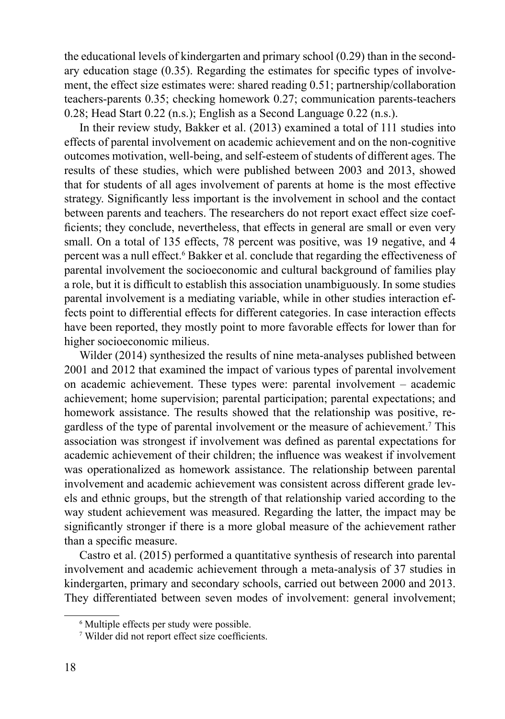the educational levels of kindergarten and primary school (0.29) than in the secondary education stage (0.35). Regarding the estimates for specific types of involvement, the effect size estimates were: shared reading 0.51; partnership/collaboration teachers-parents 0.35; checking homework 0.27; communication parents-teachers 0.28; Head Start 0.22 (n.s.); English as a Second Language 0.22 (n.s.).

In their review study, Bakker et al. (2013) examined a total of 111 studies into effects of parental involvement on academic achievement and on the non-cognitive outcomes motivation, well-being, and self-esteem of students of different ages. The results of these studies, which were published between 2003 and 2013, showed that for students of all ages involvement of parents at home is the most effective strategy. Significantly less important is the involvement in school and the contact between parents and teachers. The researchers do not report exact effect size coefficients; they conclude, nevertheless, that effects in general are small or even very small. On a total of 135 effects, 78 percent was positive, was 19 negative, and 4 percent was a null effect.<sup>6</sup> Bakker et al. conclude that regarding the effectiveness of parental involvement the socioeconomic and cultural background of families play a role, but it is difficult to establish this association unambiguously. In some studies parental involvement is a mediating variable, while in other studies interaction effects point to differential effects for different categories. In case interaction effects have been reported, they mostly point to more favorable effects for lower than for higher socioeconomic milieus.

Wilder (2014) synthesized the results of nine meta-analyses published between 2001 and 2012 that examined the impact of various types of parental involvement on academic achievement. These types were: parental involvement – academic achievement; home supervision; parental participation; parental expectations; and homework assistance. The results showed that the relationship was positive, regardless of the type of parental involvement or the measure of achievement.<sup>7</sup> This association was strongest if involvement was defined as parental expectations for academic achievement of their children; the influence was weakest if involvement was operationalized as homework assistance. The relationship between parental involvement and academic achievement was consistent across different grade levels and ethnic groups, but the strength of that relationship varied according to the way student achievement was measured. Regarding the latter, the impact may be significantly stronger if there is a more global measure of the achievement rather than a specific measure.

Castro et al. (2015) performed a quantitative synthesis of research into parental involvement and academic achievement through a meta-analysis of 37 studies in kindergarten, primary and secondary schools, carried out between 2000 and 2013. They differentiated between seven modes of involvement: general involvement;

<sup>6</sup> Multiple effects per study were possible.

<sup>&</sup>lt;sup>7</sup> Wilder did not report effect size coefficients.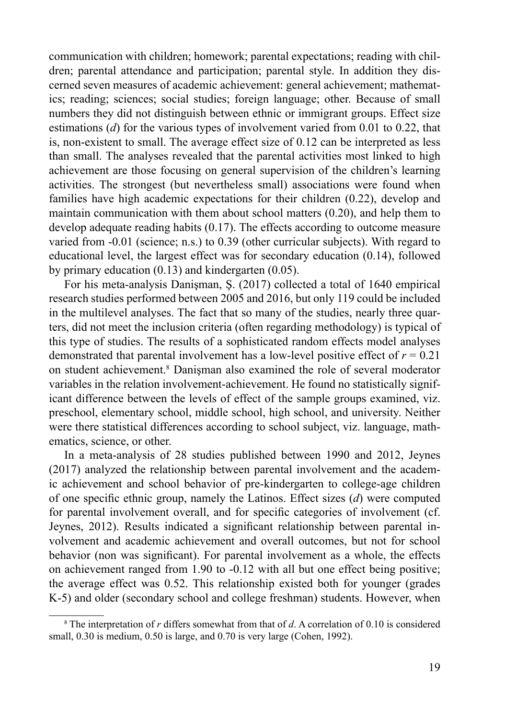communication with children; homework; parental expectations; reading with children; parental attendance and participation; parental style. In addition they discerned seven measures of academic achievement: general achievement; mathematics; reading; sciences; social studies; foreign language; other. Because of small numbers they did not distinguish between ethnic or immigrant groups. Effect size estimations (*d*) for the various types of involvement varied from 0.01 to 0.22, that is, non-existent to small. The average effect size of 0.12 can be interpreted as less than small. The analyses revealed that the parental activities most linked to high achievement are those focusing on general supervision of the children's learning activities. The strongest (but nevertheless small) associations were found when families have high academic expectations for their children (0.22), develop and maintain communication with them about school matters (0.20), and help them to develop adequate reading habits (0.17). The effects according to outcome measure varied from -0.01 (science; n.s.) to 0.39 (other curricular subjects). With regard to educational level, the largest effect was for secondary education (0.14), followed by primary education (0.13) and kindergarten (0.05).

For his meta-analysis Danişman, Ş. (2017) collected a total of 1640 empirical research studies performed between 2005 and 2016, but only 119 could be included in the multilevel analyses. The fact that so many of the studies, nearly three quarters, did not meet the inclusion criteria (often regarding methodology) is typical of this type of studies. The results of a sophisticated random effects model analyses demonstrated that parental involvement has a low-level positive effect of  $r = 0.21$ on student achievement.8 Danişman also examined the role of several moderator variables in the relation involvement-achievement. He found no statistically significant difference between the levels of effect of the sample groups examined, viz. preschool, elementary school, middle school, high school, and university. Neither were there statistical differences according to school subject, viz. language, mathematics, science, or other.

In a meta-analysis of 28 studies published between 1990 and 2012, Jeynes (2017) analyzed the relationship between parental involvement and the academic achievement and school behavior of pre-kindergarten to college-age children of one specific ethnic group, namely the Latinos. Effect sizes (*d*) were computed for parental involvement overall, and for specific categories of involvement (cf. Jeynes, 2012). Results indicated a significant relationship between parental involvement and academic achievement and overall outcomes, but not for school behavior (non was significant). For parental involvement as a whole, the effects on achievement ranged from 1.90 to -0.12 with all but one effect being positive; the average effect was 0.52. This relationship existed both for younger (grades K-5) and older (secondary school and college freshman) students. However, when

<sup>8</sup> The interpretation of *r* differs somewhat from that of *d*. A correlation of 0.10 is considered small, 0.30 is medium, 0.50 is large, and 0.70 is very large (Cohen, 1992).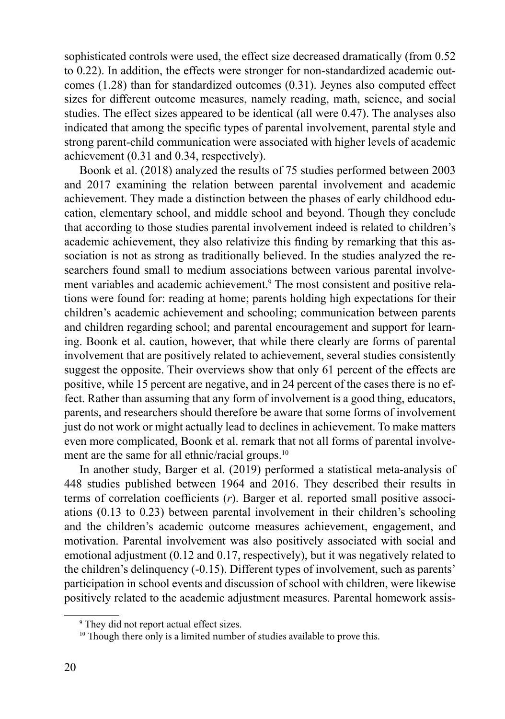sophisticated controls were used, the effect size decreased dramatically (from 0.52 to 0.22). In addition, the effects were stronger for non-standardized academic outcomes (1.28) than for standardized outcomes (0.31). Jeynes also computed effect sizes for different outcome measures, namely reading, math, science, and social studies. The effect sizes appeared to be identical (all were 0.47). The analyses also indicated that among the specific types of parental involvement, parental style and strong parent-child communication were associated with higher levels of academic achievement (0.31 and 0.34, respectively).

Boonk et al. (2018) analyzed the results of 75 studies performed between 2003 and 2017 examining the relation between parental involvement and academic achievement. They made a distinction between the phases of early childhood education, elementary school, and middle school and beyond. Though they conclude that according to those studies parental involvement indeed is related to children's academic achievement, they also relativize this finding by remarking that this association is not as strong as traditionally believed. In the studies analyzed the researchers found small to medium associations between various parental involvement variables and academic achievement.<sup>9</sup> The most consistent and positive relations were found for: reading at home; parents holding high expectations for their children's academic achievement and schooling; communication between parents and children regarding school; and parental encouragement and support for learning. Boonk et al. caution, however, that while there clearly are forms of parental involvement that are positively related to achievement, several studies consistently suggest the opposite. Their overviews show that only 61 percent of the effects are positive, while 15 percent are negative, and in 24 percent of the cases there is no effect. Rather than assuming that any form of involvement is a good thing, educators, parents, and researchers should therefore be aware that some forms of involvement just do not work or might actually lead to declines in achievement. To make matters even more complicated, Boonk et al. remark that not all forms of parental involvement are the same for all ethnic/racial groups.<sup>10</sup>

In another study, Barger et al. (2019) performed a statistical meta-analysis of 448 studies published between 1964 and 2016. They described their results in terms of correlation coefficients (*r*). Barger et al. reported small positive associations (0.13 to 0.23) between parental involvement in their children's schooling and the children's academic outcome measures achievement, engagement, and motivation. Parental involvement was also positively associated with social and emotional adjustment (0.12 and 0.17, respectively), but it was negatively related to the children's delinquency (-0.15). Different types of involvement, such as parents' participation in school events and discussion of school with children, were likewise positively related to the academic adjustment measures. Parental homework assis-

<sup>9</sup> They did not report actual effect sizes.

<sup>&</sup>lt;sup>10</sup> Though there only is a limited number of studies available to prove this.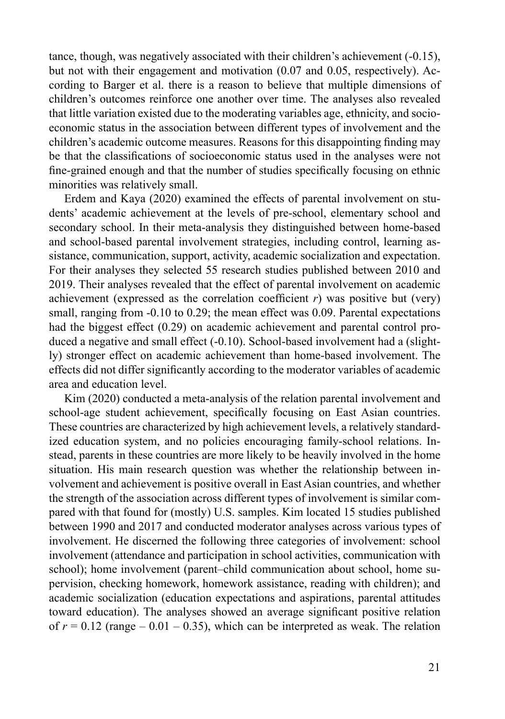tance, though, was negatively associated with their children's achievement (-0.15), but not with their engagement and motivation (0.07 and 0.05, respectively). According to Barger et al. there is a reason to believe that multiple dimensions of children's outcomes reinforce one another over time. The analyses also revealed that little variation existed due to the moderating variables age, ethnicity, and socioeconomic status in the association between different types of involvement and the children's academic outcome measures. Reasons for this disappointing finding may be that the classifications of socioeconomic status used in the analyses were not fine-grained enough and that the number of studies specifically focusing on ethnic minorities was relatively small.

Erdem and Kaya (2020) examined the effects of parental involvement on students' academic achievement at the levels of pre-school, elementary school and secondary school. In their meta-analysis they distinguished between home-based and school-based parental involvement strategies, including control, learning assistance, communication, support, activity, academic socialization and expectation. For their analyses they selected 55 research studies published between 2010 and 2019. Their analyses revealed that the effect of parental involvement on academic achievement (expressed as the correlation coefficient  $r$ ) was positive but (very) small, ranging from -0.10 to 0.29; the mean effect was 0.09. Parental expectations had the biggest effect (0.29) on academic achievement and parental control produced a negative and small effect (-0.10). School-based involvement had a (slightly) stronger effect on academic achievement than home-based involvement. The effects did not differ significantly according to the moderator variables of academic area and education level.

Kim (2020) conducted a meta-analysis of the relation parental involvement and school-age student achievement, specifically focusing on East Asian countries. These countries are characterized by high achievement levels, a relatively standardized education system, and no policies encouraging family-school relations. Instead, parents in these countries are more likely to be heavily involved in the home situation. His main research question was whether the relationship between involvement and achievement is positive overall in East Asian countries, and whether the strength of the association across different types of involvement is similar compared with that found for (mostly) U.S. samples. Kim located 15 studies published between 1990 and 2017 and conducted moderator analyses across various types of involvement. He discerned the following three categories of involvement: school involvement (attendance and participation in school activities, communication with school); home involvement (parent–child communication about school, home supervision, checking homework, homework assistance, reading with children); and academic socialization (education expectations and aspirations, parental attitudes toward education). The analyses showed an average significant positive relation of  $r = 0.12$  (range  $-0.01 - 0.35$ ), which can be interpreted as weak. The relation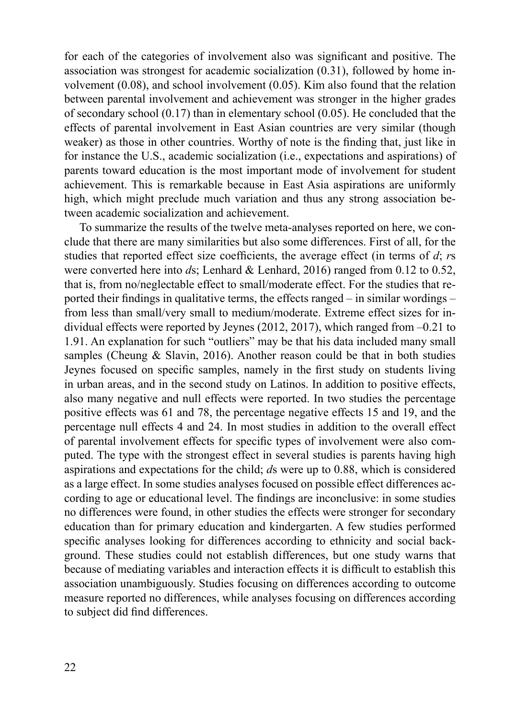for each of the categories of involvement also was significant and positive. The association was strongest for academic socialization (0.31), followed by home involvement (0.08), and school involvement (0.05). Kim also found that the relation between parental involvement and achievement was stronger in the higher grades of secondary school  $(0.17)$  than in elementary school  $(0.05)$ . He concluded that the effects of parental involvement in East Asian countries are very similar (though weaker) as those in other countries. Worthy of note is the finding that, just like in for instance the U.S., academic socialization (i.e., expectations and aspirations) of parents toward education is the most important mode of involvement for student achievement. This is remarkable because in East Asia aspirations are uniformly high, which might preclude much variation and thus any strong association between academic socialization and achievement.

To summarize the results of the twelve meta-analyses reported on here, we conclude that there are many similarities but also some differences. First of all, for the studies that reported effect size coefficients, the average effect (in terms of *d*; *r*s were converted here into *d*s; Lenhard & Lenhard, 2016) ranged from 0.12 to 0.52, that is, from no/neglectable effect to small/moderate effect. For the studies that reported their findings in qualitative terms, the effects ranged – in similar wordings – from less than small/very small to medium/moderate. Extreme effect sizes for individual effects were reported by Jeynes (2012, 2017), which ranged from –0.21 to 1.91. An explanation for such "outliers" may be that his data included many small samples (Cheung  $\&$  Slavin, 2016). Another reason could be that in both studies Jeynes focused on specific samples, namely in the first study on students living in urban areas, and in the second study on Latinos. In addition to positive effects, also many negative and null effects were reported. In two studies the percentage positive effects was 61 and 78, the percentage negative effects 15 and 19, and the percentage null effects 4 and 24. In most studies in addition to the overall effect of parental involvement effects for specific types of involvement were also computed. The type with the strongest effect in several studies is parents having high aspirations and expectations for the child; *d*s were up to 0.88, which is considered as a large effect. In some studies analyses focused on possible effect differences according to age or educational level. The findings are inconclusive: in some studies no differences were found, in other studies the effects were stronger for secondary education than for primary education and kindergarten. A few studies performed specific analyses looking for differences according to ethnicity and social background. These studies could not establish differences, but one study warns that because of mediating variables and interaction effects it is difficult to establish this association unambiguously. Studies focusing on differences according to outcome measure reported no differences, while analyses focusing on differences according to subject did find differences.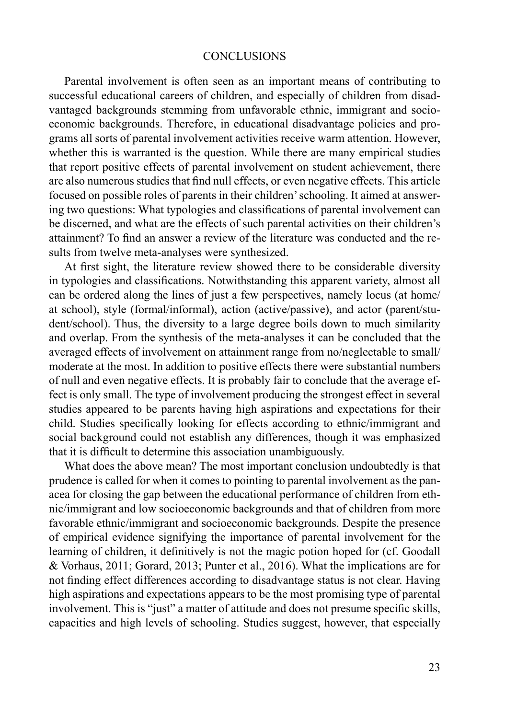#### **CONCLUSIONS**

Parental involvement is often seen as an important means of contributing to successful educational careers of children, and especially of children from disadvantaged backgrounds stemming from unfavorable ethnic, immigrant and socioeconomic backgrounds. Therefore, in educational disadvantage policies and programs all sorts of parental involvement activities receive warm attention. However, whether this is warranted is the question. While there are many empirical studies that report positive effects of parental involvement on student achievement, there are also numerous studies that find null effects, or even negative effects. This article focused on possible roles of parents in their children' schooling. It aimed at answering two questions: What typologies and classifications of parental involvement can be discerned, and what are the effects of such parental activities on their children's attainment? To find an answer a review of the literature was conducted and the results from twelve meta-analyses were synthesized.

At first sight, the literature review showed there to be considerable diversity in typologies and classifications. Notwithstanding this apparent variety, almost all can be ordered along the lines of just a few perspectives, namely locus (at home/ at school), style (formal/informal), action (active/passive), and actor (parent/student/school). Thus, the diversity to a large degree boils down to much similarity and overlap. From the synthesis of the meta-analyses it can be concluded that the averaged effects of involvement on attainment range from no/neglectable to small/ moderate at the most. In addition to positive effects there were substantial numbers of null and even negative effects. It is probably fair to conclude that the average effect is only small. The type of involvement producing the strongest effect in several studies appeared to be parents having high aspirations and expectations for their child. Studies specifically looking for effects according to ethnic/immigrant and social background could not establish any differences, though it was emphasized that it is difficult to determine this association unambiguously.

What does the above mean? The most important conclusion undoubtedly is that prudence is called for when it comes to pointing to parental involvement as the panacea for closing the gap between the educational performance of children from ethnic/immigrant and low socioeconomic backgrounds and that of children from more favorable ethnic/immigrant and socioeconomic backgrounds. Despite the presence of empirical evidence signifying the importance of parental involvement for the learning of children, it definitively is not the magic potion hoped for (cf. Goodall & Vorhaus, 2011; Gorard, 2013; Punter et al., 2016). What the implications are for not finding effect differences according to disadvantage status is not clear. Having high aspirations and expectations appears to be the most promising type of parental involvement. This is "just" a matter of attitude and does not presume specific skills, capacities and high levels of schooling. Studies suggest, however, that especially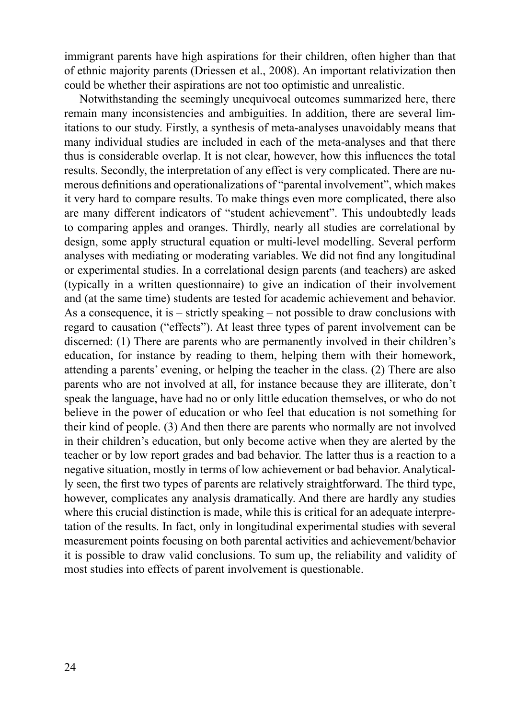immigrant parents have high aspirations for their children, often higher than that of ethnic majority parents (Driessen et al., 2008). An important relativization then could be whether their aspirations are not too optimistic and unrealistic.

Notwithstanding the seemingly unequivocal outcomes summarized here, there remain many inconsistencies and ambiguities. In addition, there are several limitations to our study. Firstly, a synthesis of meta-analyses unavoidably means that many individual studies are included in each of the meta-analyses and that there thus is considerable overlap. It is not clear, however, how this influences the total results. Secondly, the interpretation of any effect is very complicated. There are numerous definitions and operationalizations of "parental involvement", which makes it very hard to compare results. To make things even more complicated, there also are many different indicators of "student achievement". This undoubtedly leads to comparing apples and oranges. Thirdly, nearly all studies are correlational by design, some apply structural equation or multi-level modelling. Several perform analyses with mediating or moderating variables. We did not find any longitudinal or experimental studies. In a correlational design parents (and teachers) are asked (typically in a written questionnaire) to give an indication of their involvement and (at the same time) students are tested for academic achievement and behavior. As a consequence, it is – strictly speaking – not possible to draw conclusions with regard to causation ("effects"). At least three types of parent involvement can be discerned: (1) There are parents who are permanently involved in their children's education, for instance by reading to them, helping them with their homework, attending a parents' evening, or helping the teacher in the class. (2) There are also parents who are not involved at all, for instance because they are illiterate, don't speak the language, have had no or only little education themselves, or who do not believe in the power of education or who feel that education is not something for their kind of people. (3) And then there are parents who normally are not involved in their children's education, but only become active when they are alerted by the teacher or by low report grades and bad behavior. The latter thus is a reaction to a negative situation, mostly in terms of low achievement or bad behavior. Analytically seen, the first two types of parents are relatively straightforward. The third type, however, complicates any analysis dramatically. And there are hardly any studies where this crucial distinction is made, while this is critical for an adequate interpretation of the results. In fact, only in longitudinal experimental studies with several measurement points focusing on both parental activities and achievement/behavior it is possible to draw valid conclusions. To sum up, the reliability and validity of most studies into effects of parent involvement is questionable.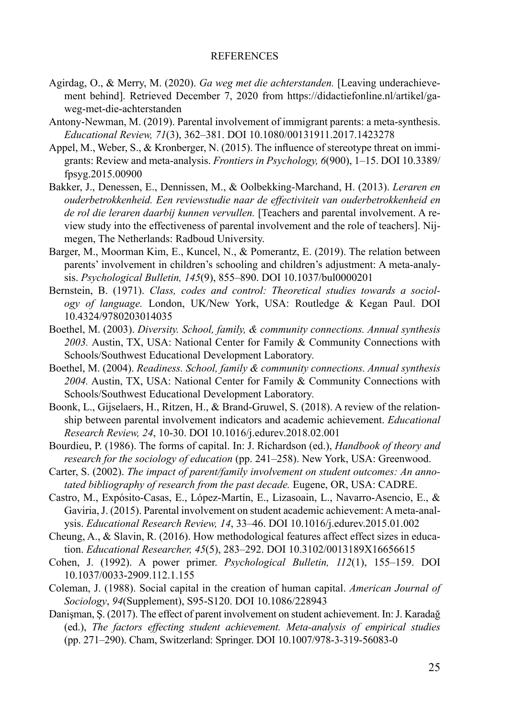#### REFERENCES

- Agirdag, O., & Merry, M. (2020). *Ga weg met die achterstanden.* [Leaving underachievement behind]. Retrieved December 7, 2020 from https://didactiefonline.nl/artikel/gaweg-met-die-achterstanden
- Antony-Newman, M. (2019). Parental involvement of immigrant parents: a meta-synthesis. *Educational Review, 71*(3), 362–381. DOI 10.1080/00131911.2017.1423278
- Appel, M., Weber, S., & Kronberger, N. (2015). The influence of stereotype threat on immigrants: Review and meta-analysis. *Frontiers in Psychology, 6*(900), 1–15. DOI 10.3389/ fpsyg.2015.00900
- Bakker, J., Denessen, E., Dennissen, M., & Oolbekking-Marchand, H. (2013). *Leraren en ouderbetrokkenheid. Een reviewstudie naar de effectiviteit van ouderbetrokkenheid en de rol die leraren daarbij kunnen vervullen.* [Teachers and parental involvement. A review study into the effectiveness of parental involvement and the role of teachers]. Nijmegen, The Netherlands: Radboud University.
- Barger, M., Moorman Kim, E., Kuncel, N., & Pomerantz, E. (2019). The relation between parents' involvement in children's schooling and children's adjustment: A meta-analysis. *Psychological Bulletin, 145*(9), 855–890. DOI 10.1037/bul0000201
- Bernstein, B. (1971). *Class, codes and control: Theoretical studies towards a sociology of language.* London, UK/New York, USA: Routledge & Kegan Paul. DOI 10.4324/9780203014035
- Boethel, M. (2003). *Diversity. School, family, & community connections. Annual synthesis 2003.* Austin, TX, USA: National Center for Family & Community Connections with Schools/Southwest Educational Development Laboratory*.*
- Boethel, M. (2004). *Readiness. School, family & community connections. Annual synthesis 2004.* Austin, TX, USA: National Center for Family & Community Connections with Schools/Southwest Educational Development Laboratory*.*
- Boonk, L., Gijselaers, H., Ritzen, H., & Brand-Gruwel, S. (2018). A review of the relationship between parental involvement indicators and academic achievement. *Educational Research Review, 24*, 10-30. DOI 10.1016/j.edurev.2018.02.001
- Bourdieu, P. (1986). The forms of capital. In: J. Richardson (ed.), *Handbook of theory and research for the sociology of education* (pp. 241–258). New York, USA: Greenwood.
- Carter, S. (2002). *The impact of parent/family involvement on student outcomes: An annotated bibliography of research from the past decade.* Eugene, OR, USA: CADRE.
- Castro, M., Expósito-Casas, E., López-Martín, E., Lizasoain, L., Navarro-Asencio, E., & Gaviria, J. (2015). Parental involvement on student academic achievement: A meta-analysis. *Educational Research Review, 14*, 33–46. DOI 10.1016/j.edurev.2015.01.002
- Cheung, A., & Slavin, R. (2016). How methodological features affect effect sizes in education. *Educational Researcher, 45*(5), 283–292. DOI 10.3102/0013189X16656615
- Cohen, J. (1992). A power primer. *Psychological Bulletin, 112*(1), 155–159. DOI 10.1037/0033-2909.112.1.155
- Coleman, J. (1988). Social capital in the creation of human capital. *American Journal of*  Sociology, 94(Supplement), S95-S120. DOI 10.1086/228943
- Danişman, Ş. (2017). The effect of parent involvement on student achievement. In: J. Karadağ (ed.), *The factors effecting student achievement. Meta-analysis of empirical studies* (pp. 271–290). Cham, Switzerland: Springer. DOI 10.1007/978-3-319-56083-0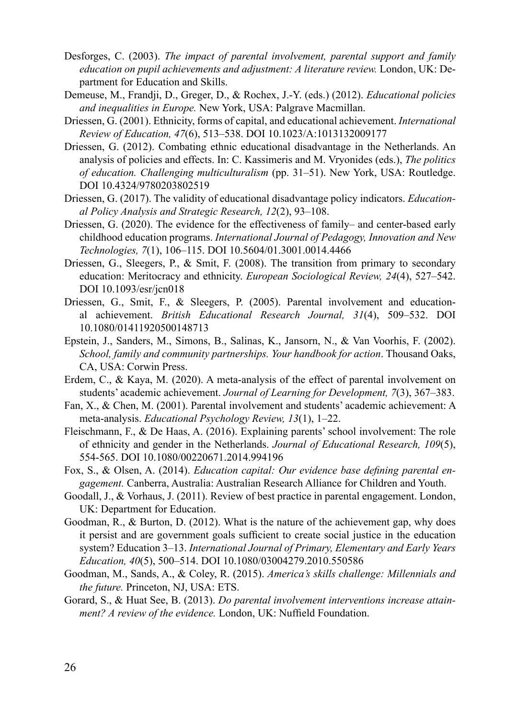- Desforges, C. (2003). *The impact of parental involvement, parental support and family education on pupil achievements and adjustment: A literature review.* London, UK: Department for Education and Skills.
- Demeuse, M., Frandji, D., Greger, D., & Rochex, J.-Y. (eds.) (2012). *Educational policies and inequalities in Europe.* New York, USA: Palgrave Macmillan.
- Driessen, G. (2001). Ethnicity, forms of capital, and educational achievement. *International Review of Education, 47*(6), 513–538. DOI 10.1023/A:1013132009177
- Driessen, G. (2012). Combating ethnic educational disadvantage in the Netherlands. An analysis of policies and effects. In: C. Kassimeris and M. Vryonides (eds.), *The politics of education. Challenging multicultural ism* (pp. 31–51). New York, USA: Routledge. DOI 10.4324/9780203802519
- Driessen, G. (2017). The validity of educational disadvantage policy indicators. *Educational Policy Analysis and Strategic Research, 12*(2), 93–108.
- Driessen, G. (2020). The evidence for the effectiveness of family– and center-based early childhood education programs. *International Journal of Pedagogy, Innovation and New Technologies, 7*(1), 106–115. DOI 10.5604/01.3001.0014.4466
- Driessen, G., Sleegers, P., & Smit, F. (2008). The transition from primary to secondary education: Meritocracy and ethnicity. *European Sociological Review, 24*(4), 527–542. DOI 10.1093/esr/jcn018
- Driessen, G., Smit, F., & Sleegers, P. (2005). Parental involvement and educational achievement. *British Educational Research Journal, 31*(4), 509–532. DOI 10.1080/01411920500148713
- Epstein, J., Sanders, M., Simons, B., Salinas, K., Jansorn, N., & Van Voorhis, F. (2002). *School, family and community partnerships. Your handbook for action*. Thousand Oaks, CA, USA: Corwin Press.
- Erdem, C., & Kaya, M. (2020). A meta-analysis of the effect of parental involvement on students' academic achievement. *Journal of Learning for Development, 7*(3), 367–383.
- Fan, X., & Chen, M. (2001). Parental involvement and students' academic achievement: A meta-analysis. *Educational Psychology Review, 13*(1), 1–22.
- Fleischmann, F., & De Haas, A. (2016). Explaining parents' school involvement: The role of ethnicity and gender in the Netherlands. *Journal of Educational Research, 109*(5), 554-565. DOI 10.1080/00220671.2014.994196
- Fox, S., & Olsen, A. (2014). *Education capital: Our evidence base defining parental engagement.* Canberra, Australia: Australian Research Alliance for Children and Youth.
- Goodall, J., & Vorhaus, J. (2011). Review of best practice in parental engagement. London, UK: Department for Education.
- Goodman, R., & Burton, D. (2012). What is the nature of the achievement gap, why does it persist and are government goals sufficient to create social justice in the education system? Education 3–13. *International Journal of Primary, Elementary and Early Years Education, 40*(5), 500–514. DOI 10.1080/03004279.2010.550586
- Goodman, M., Sands, A., & Coley, R. (2015). *America's skills challenge: Millennials and the future.* Princeton, NJ, USA: ETS.
- Gorard, S., & Huat See, B. (2013). *Do parental involvement interventions increase attainment? A review of the evidence.* London, UK: Nuffield Foundation.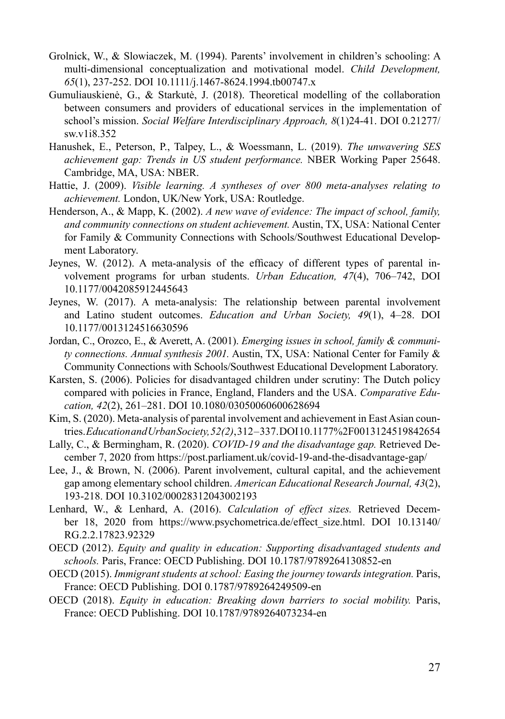- Grolnick, W., & Slowiaczek, M. (1994). Parents' involvement in children's schooling: A multi-dimensional conceptualization and motivational model. *Child Development, 65*(1), 237-252. DOI 10.1111/j.1467-8624.1994.tb00747.x
- Gumuliauskienė, G., & Starkutė, J. (2018). Theoretical modelling of the collaboration between consumers and providers of educational services in the implementation of school's mission. *Social Welfare Interdisciplinary Approach, 8*(1)24-41. DOI 0.21277/ sw.v1i8.352
- Hanushek, E., Peterson, P., Talpey, L., & Woessmann, L. (2019). *The unwavering SES achievement gap: Trends in US student performance.* NBER Working Paper 25648. Cambridge, MA, USA: NBER.
- Hattie, J. (2009). *Visible learning. A syntheses of over 800 meta-analyses relating to achievement.* London, UK/New York, USA: Routledge.
- Henderson, A., & Mapp, K. (2002). *A new wave of evidence: The impact of school, family, and community connections on student achievement.* Austin, TX, USA: National Center for Family & Community Connections with Schools/Southwest Educational Development Laboratory.
- Jeynes, W.  $(2012)$ . A meta-analysis of the efficacy of different types of parental involvement programs for urban students. *Urban Education, 47*(4), 706–742, DOI 10.1177/0042085912445643
- Jeynes, W. (2017). A meta-analysis: The relationship between parental involvement and Latino student outcomes. *Education and Urban Society, 49*(1), 4–28. DOI 10.1177/0013124516630596
- Jordan, C., Orozco, E., & Averett, A. (2001). *Emerging issues in school, family & community connections. Annual synthesis 2001.* Austin, TX, USA: National Center for Family & Community Connections with Schools/Southwest Educational Development Laboratory.
- Karsten, S. (2006). Policies for disadvantaged children under scrutiny: The Dutch policy compared with policies in France, England, Flanders and the USA. *Comparative Education, 42*(2), 261–281. DOI 10.1080/03050060600628694
- Kim, S. (2020). Meta-analysis of parental involvement and achievement in East Asian countries. *Education and Urban Society, 52(2)*, 312 – 337. DOI 10.1177%2F0013124519842654
- Lally, C., & Bermingham, R. (2020). *COVID-19 and the disadvantage gap.* Retrieved December 7, 2020 from https://post.parliament.uk/covid-19-and-the-disadvantage-gap/
- Lee, J., & Brown, N. (2006). Parent involvement, cultural capital, and the achievement gap among elementary school children. *American Educational Research Journal, 43*(2), 193-218. DOI 10.3102/00028312043002193
- Lenhard, W., & Lenhard, A. (2016). *Calculation of effect sizes.* Retrieved December 18, 2020 from https://www.psychometrica.de/effect\_size.html. DOI 10.13140/ RG.2.2.17823.92329
- OECD (2012). *Equity and quality in education: Supporting disadvantaged students and schools.* Paris, France: OECD Publishing. DOI 10.1787/9789264130852-en
- OECD (2015). *Immigrant students at school: Easing the journey towards integration.* Paris, France: OECD Publishing. DOI 0.1787/9789264249509-en
- OECD (2018). *Equity in education: Breaking down barriers to social mobility.* Paris, France: OECD Publishing. DOI 10.1787/9789264073234-en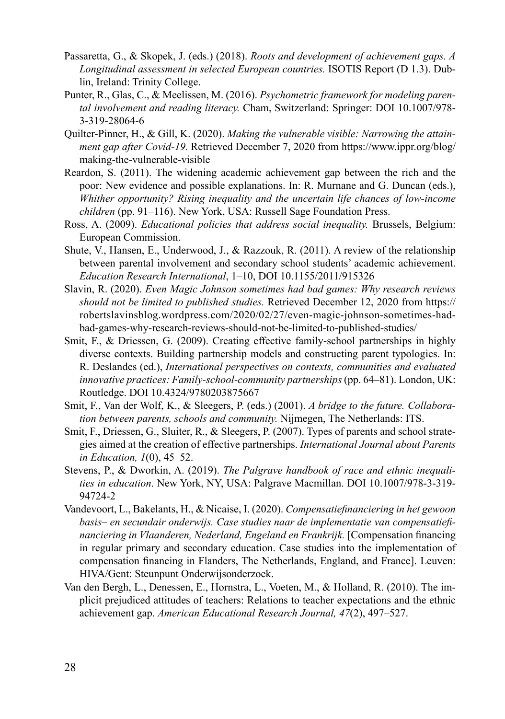- Passaretta, G., & Skopek, J. (eds.) (2018). *Roots and development of achievement gaps. A Longitudinal assessment in selected European countries.* ISOTIS Report (D 1.3). Dublin, Ireland: Trinity College.
- Punter, R., Glas, C., & Meelissen, M. (2016). *Psychometric framework for modeling parental involvement and reading literacy.* Cham, Switzerland: Springer: DOI 10.1007/978- 3-319-28064-6
- Quilter-Pinner, H., & Gill, K. (2020). *Making the vulnerable visible: Narrowing the attainment gap after Covid-19.* Retrieved December 7, 2020 from https://www.ippr.org/blog/ making-the-vulnerable-visible
- Reardon, S. (2011). The widening academic achievement gap between the rich and the poor: New evidence and possible explanations. In: R. Murnane and G. Duncan (eds.), *Whither opportunity? Rising inequality and the uncertain life chances of low-income children* (pp. 91–116). New York, USA: Russell Sage Foundation Press.
- Ross, A. (2009). *Educational policies that address social inequality.* Brussels, Belgium: European Commission.
- Shute, V., Hansen, E., Underwood, J., & Razzouk, R. (2011). A review of the relationship between parental involvement and secondary school students' academic achievement. *Education Research International*, 1–10, DOI 10.1155/2011/915326
- Slavin, R. (2020). *Even Magic Johnson sometimes had bad games: Why research reviews should not be limited to published studies.* Retrieved December 12, 2020 from https:// robertslavinsblog.wordpress.com/2020/02/27/even-magic-johnson-sometimes-hadbad-games-why-research-reviews-should-not-be-limited-to-published-studies/
- Smit, F., & Driessen, G. (2009). Creating effective family-school partnerships in highly diverse contexts. Building partnership models and constructing parent typologies. In: R. Deslandes (ed.), *International perspectives on contexts, communities and evaluated innovative practices: Family-school-community partnerships* (pp. 64–81). London, UK: Routledge. DOI 10.4324/9780203875667
- Smit, F., Van der Wolf, K., & Sleegers, P. (eds.) (2001). *A bridge to the future. Collaboration between parents, schools and community.* Nijmegen, The Netherlands: ITS.
- Smit, F., Driessen, G., Sluiter, R., & Sleegers, P. (2007). Types of parents and school strategies aimed at the creation of effective partnerships. *International Journal about Parents in Education, 1*(0), 45–52.
- Stevens, P., & Dworkin, A. (2019). *The Palgrave handbook of race and ethnic inequalities in education*. New York, NY, USA: Palgrave Macmillan. DOI 10.1007/978-3-319- 94724-2
- Vandevoort, L., Bakelants, H., & Nicaise, I. (2020). *Compensatiefinanciering in het gewoon basis– en secundair onderwijs. Case studies naar de implementatie van compensatiefi nanciering in Vlaanderen, Nederland, Engeland en Frankrijk.* [Compensation financing in regular primary and secondary education. Case studies into the implementation of compensation financing in Flanders, The Netherlands, England, and France]. Leuven: HIVA/Gent: Steunpunt Onderwijsonderzoek.
- Van den Bergh, L., Denessen, E., Hornstra, L., Voeten, M., & Holland, R. (2010). The implicit prejudiced attitudes of teachers: Relations to teacher expectations and the ethnic achievement gap. *American Educational Research Journal, 47*(2), 497–527.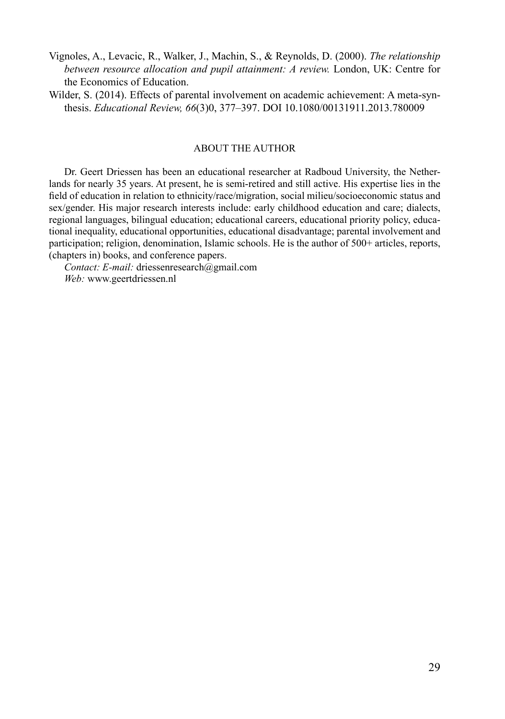- Vignoles, A., Levacic, R., Walker, J., Machin, S., & Reynolds, D. (2000). *The relationship between resource allocation and pupil attainment: A review.* London, UK: Centre for the Economics of Education.
- Wilder, S. (2014). Effects of parental involvement on academic achievement: A meta-synthesis. *Educational Review, 66*(3)0, 377–397. DOI 10.1080/00131911.2013.780009

#### ABOUT THE AUTHOR

Dr. Geert Driessen has been an educational researcher at Radboud University, the Netherlands for nearly 35 years. At present, he is semi-retired and still active. His expertise lies in the field of education in relation to ethnicity/race/migration, social milieu/socioeconomic status and sex/gender. His major research interests include: early childhood education and care; dialects, regional languages, bilingual education; educational careers, educational priority policy, educational inequality, educational opportunities, educational disadvantage; parental involvement and participation; religion, denomination, Islamic schools. He is the author of 500+ articles, reports, (chapters in) books, and conference papers.

*Contact: E-mail:* driessenresearch@gmail.com *Web:* www.geertdriessen.nl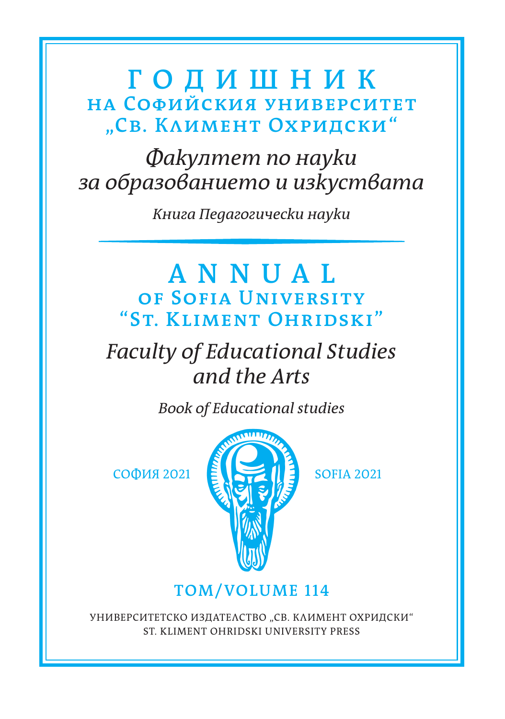### **ГОДИШНИК НА СОФИЙСКИЯ УНИВЕРСИТЕТ "СВ. КЛИМЕНТ ОХРИДСКИ"**

*Факултет по науки за образованието и изкуствата*

*Книга Педагогически науки*

### **ANNUAL OF SOFIA UNIVERSITY "ST. KLIMENT OHRIDSKI"**

# *Faculty of Educational Studies and the Arts*

*Воок of Educational studies*



### **ТОМ/VOLUME 114**

УНИВЕРСИТЕТСКО ИЗДАТЕЛСТВО "СВ. КЛИМЕНТ ОХРИДСКИ" ST. KLIMENT OHRIDSKI UNIVERSITY PRESS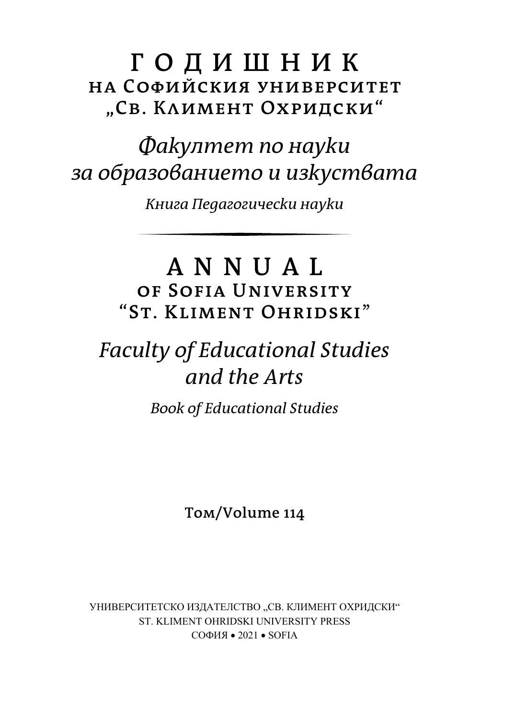### **ГОДИШНИК НА СОФИЙСКИЯ УНИВЕРСИТЕТ "СВ. КЛИМЕНТ ОХРИДСКИ"**

# *Факултет по науки за образованието и изкуствата*

*Книга Педагогически науки*

## **ANNUAL OF SOFIA UNIVERSITY "ST. KLIMENT OHRIDSKI**"

# *Faculty of Educational Studies and the Arts*

*Воок of Educational Studies*

**Том/Volume 114**

УНИВЕРСИТЕТСКО ИЗДАТЕЛСТВО "СВ. КЛИМЕНТ ОХРИДСКИ" ST. KLIMENT OHRIDSKI UNIVERSITY PRESS СОФИЯ  $\bullet$  2021  $\bullet$  SOFIA